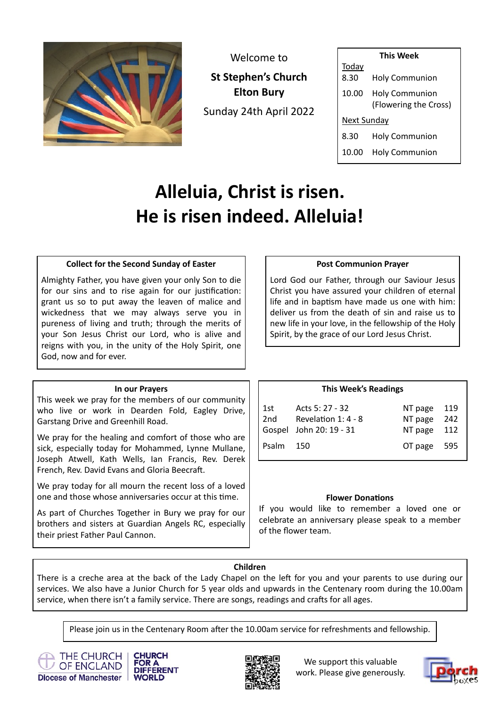

Welcome to **St Stephen's Church Elton Bury**

Sunday 24th April 2022

| This Week          |                                                |  |  |
|--------------------|------------------------------------------------|--|--|
| Today<br>8.30      | <b>Holy Communion</b>                          |  |  |
| 10.00              | <b>Holy Communion</b><br>(Flowering the Cross) |  |  |
| <b>Next Sunday</b> |                                                |  |  |
| 8.30               | <b>Holy Communion</b>                          |  |  |
| 10.00              | <b>Holy Communion</b>                          |  |  |

# **Alleluia, Christ is risen. He is risen indeed. Alleluia!**

# **Collect for the Second Sunday of Easter**

Almighty Father, you have given your only Son to die for our sins and to rise again for our justification: grant us so to put away the leaven of malice and wickedness that we may always serve you in pureness of living and truth; through the merits of your Son Jesus Christ our Lord, who is alive and reigns with you, in the unity of the Holy Spirit, one God, now and for ever.

#### **In our Prayers**

This week we pray for the members of our community who live or work in Dearden Fold, Eagley Drive, Garstang Drive and Greenhill Road.

We pray for the healing and comfort of those who are sick, especially today for Mohammed, Lynne Mullane, Joseph Atwell, Kath Wells, Ian Francis, Rev. Derek French, Rev. David Evans and Gloria Beecraft.

We pray today for all mourn the recent loss of a loved one and those whose anniversaries occur at this time.

As part of Churches Together in Bury we pray for our brothers and sisters at Guardian Angels RC, especially their priest Father Paul Cannon.

## **Post Communion Prayer**

Lord God our Father, through our Saviour Jesus Christ you have assured your children of eternal life and in baptism have made us one with him: deliver us from the death of sin and raise us to new life in your love, in the fellowship of the Holy Spirit, by the grace of our Lord Jesus Christ.

#### **This Week's Readings**

| $\begin{vmatrix} 1st \\ 2nd \end{vmatrix}$ | Acts 5: 27 - 32<br>Revelation 1: 4 - 8<br>Gospel John 20: 19 - 31 | NT page 119<br>NT page 242<br>NT page 112 |  |
|--------------------------------------------|-------------------------------------------------------------------|-------------------------------------------|--|
| <b>Psalm 150</b>                           |                                                                   | OT page 595                               |  |

#### **Flower Donations**

If you would like to remember a loved one or celebrate an anniversary please speak to a member of the flower team.

## **Children**

There is a creche area at the back of the Lady Chapel on the left for you and your parents to use during our services. We also have a Junior Church for 5 year olds and upwards in the Centenary room during the 10.00am service, when there isn't a family service. There are songs, readings and crafts for all ages.

Please join us in the Centenary Room after the 10.00am service for refreshments and fellowship.





We support this valuable work. Please give generously.